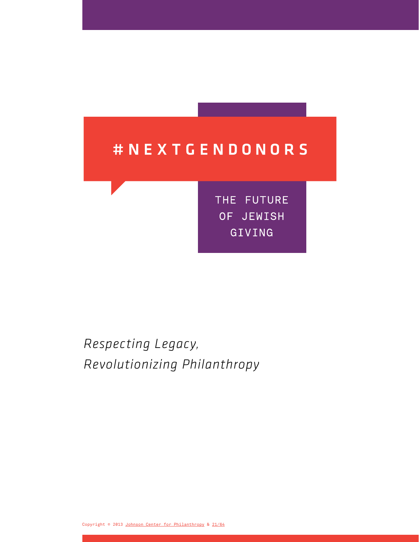# #NEXTGENDONORS

THE FUTURE OF JEWISH GIVING

*Respecting Legacy, Revolutionizing Philanthropy*

Copyright © 2013 [Johnson Center for Philanthropy](http://www.gvsu.edu/jcp/) & [21/64](http://2164.net/)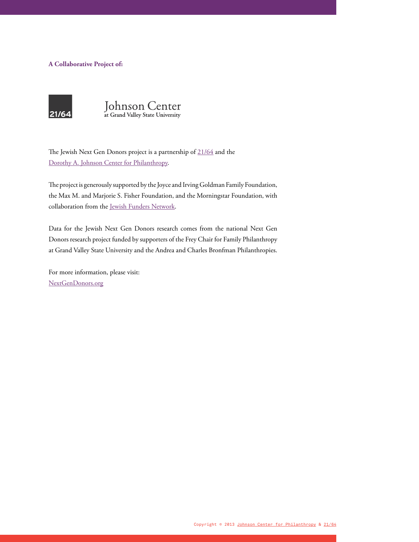#### **A Collaborative Project of:**





The Jewish Next Gen Donors project is a partnership of  $21/64$  and the [Dorothy A. Johnson Center for Philanthropy.](http://www.johnsoncenter.org/)

The project is generously supported by the Joyce and Irving Goldman Family Foundation, the Max M. and Marjorie S. Fisher Foundation, and the Morningstar Foundation, with collaboration from the [Jewish Funders Network](http://www.jfunders.org).

Data for the Jewish Next Gen Donors research comes from the national Next Gen Donors research project funded by supporters of the Frey Chair for Family Philanthropy at Grand Valley State University and the Andrea and Charles Bronfman Philanthropies.

For more information, please visit: [NextGenDonors.org](http://www.nextgendonors.org/)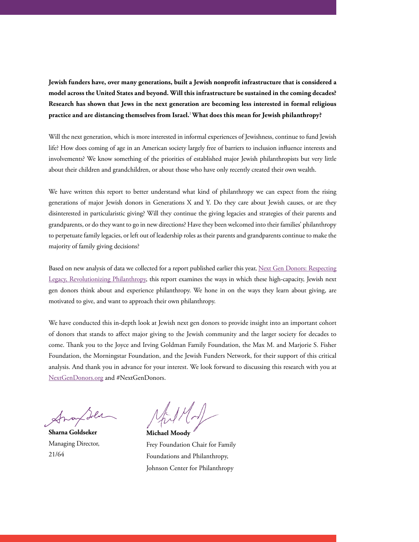**Jewish funders have, over many generations, built a Jewish nonprofit infrastructure that is considered a model across the United States and beyond. Will this infrastructure be sustained in the coming decades? Research has shown that Jews in the next generation are becoming less interested in formal religious practice and are distancing themselves from Israel.**<sup>1</sup>**What does this mean for Jewish philanthropy?**

Will the next generation, which is more interested in informal experiences of Jewishness, continue to fund Jewish life? How does coming of age in an American society largely free of barriers to inclusion influence interests and involvements? We know something of the priorities of established major Jewish philanthropists but very little about their children and grandchildren, or about those who have only recently created their own wealth.

We have written this report to better understand what kind of philanthropy we can expect from the rising generations of major Jewish donors in Generations X and Y. Do they care about Jewish causes, or are they disinterested in particularistic giving? Will they continue the giving legacies and strategies of their parents and grandparents, or do they want to go in new directions? Have they been welcomed into their families' philanthropy to perpetuate family legacies, or left out of leadership roles as their parents and grandparents continue to make the majority of family giving decisions?

Based on new analysis of data we collected for a report published earlier this year, Next Gen Donors: Respecting [Legacy, Revolutionizing Philanthropy](http://www.nextgendonors.org/wp-nextgendonors/wp-content/uploads/nextgen-donor-brochure_v8.pdf), this report examines the ways in which these high-capacity, Jewish next gen donors think about and experience philanthropy. We hone in on the ways they learn about giving, are motivated to give, and want to approach their own philanthropy.

We have conducted this in-depth look at Jewish next gen donors to provide insight into an important cohort of donors that stands to affect major giving to the Jewish community and the larger society for decades to come. Thank you to the Joyce and Irving Goldman Family Foundation, the Max M. and Marjorie S. Fisher Foundation, the Morningstar Foundation, and the Jewish Funders Network, for their support of this critical analysis. And thank you in advance for your interest. We look forward to discussing this research with you at [NextGenDonors.org](http://www.nextgendonors.org/) and #NextGenDonors.

**Sharna Goldseker**  Managing Director, 21/64

**Michael Moody** 

Frey Foundation Chair for Family Foundations and Philanthropy, Johnson Center for Philanthropy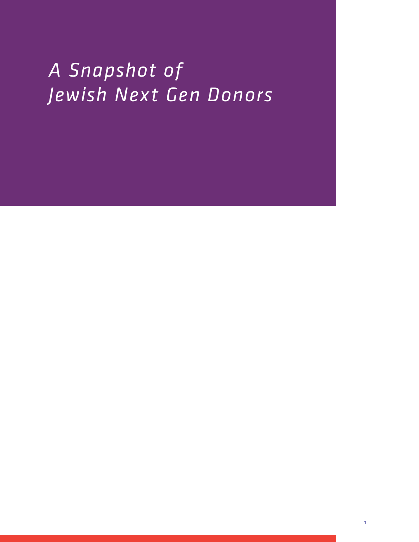# *A Snapshot of Jewish Next Gen Donors*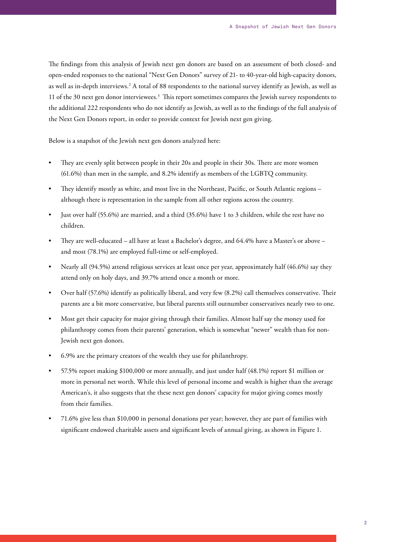The findings from this analysis of Jewish next gen donors are based on an assessment of both closed- and open-ended responses to the national "Next Gen Donors" survey of 21- to 40-year-old high-capacity donors, as well as in-depth interviews.<sup>2</sup> A total of 88 respondents to the national survey identify as Jewish, as well as 11 of the 30 next gen donor interviewees.3 This report sometimes compares the Jewish survey respondents to the additional 222 respondents who do not identify as Jewish, as well as to the findings of the full analysis of the Next Gen Donors report, in order to provide context for Jewish next gen giving.

Below is a snapshot of the Jewish next gen donors analyzed here:

- They are evenly split between people in their 20s and people in their 30s. There are more women (61.6%) than men in the sample, and 8.2% identify as members of the LGBTQ community.
- They identify mostly as white, and most live in the Northeast, Pacific, or South Atlantic regions although there is representation in the sample from all other regions across the country.
- Just over half  $(55.6%)$  are married, and a third  $(35.6%)$  have 1 to 3 children, while the rest have no children.
- They are well-educated  $-$  all have at least a Bachelor's degree, and 64.4% have a Master's or above  $$ and most (78.1%) are employed full-time or self-employed.
- Nearly all (94.5%) attend religious services at least once per year, approximately half (46.6%) say they attend only on holy days, and 39.7% attend once a month or more.
- Over half (57.6%) identify as politically liberal, and very few (8.2%) call themselves conservative. Their parents are a bit more conservative, but liberal parents still outnumber conservatives nearly two to one.
- Most get their capacity for major giving through their families. Almost half say the money used for philanthropy comes from their parents' generation, which is somewhat "newer" wealth than for non-Jewish next gen donors.
- 6.9% are the primary creators of the wealth they use for philanthropy.
- 57.5% report making \$100,000 or more annually, and just under half (48.1%) report \$1 million or more in personal net worth. While this level of personal income and wealth is higher than the average American's, it also suggests that the these next gen donors' capacity for major giving comes mostly from their families.
- • 71.6% give less than \$10,000 in personal donations per year; however, they are part of families with significant endowed charitable assets and significant levels of annual giving, as shown in Figure 1.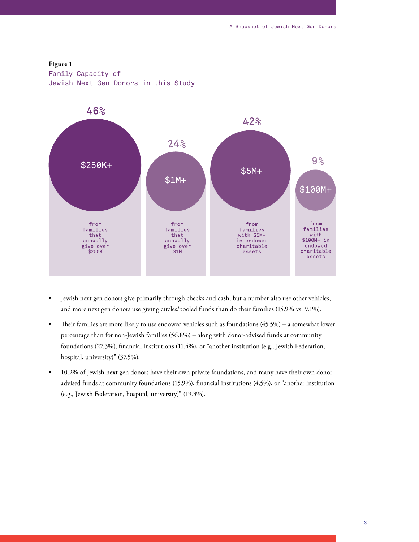#### **Figure 1**

Family Capacity of

Jewish Next Gen Donors in this Study



- • Jewish next gen donors give primarily through checks and cash, but a number also use other vehicles, and more next gen donors use giving circles/pooled funds than do their families (15.9% vs. 9.1%).
- Their families are more likely to use endowed vehicles such as foundations (45.5%) a somewhat lower percentage than for non-Jewish families (56.8%) – along with donor-advised funds at community foundations (27.3%), financial institutions (11.4%), or "another institution (e.g., Jewish Federation, hospital, university)" (37.5%).
- • 10.2% of Jewish next gen donors have their own private foundations, and many have their own donoradvised funds at community foundations (15.9%), financial institutions (4.5%), or "another institution (e.g., Jewish Federation, hospital, university)" (19.3%).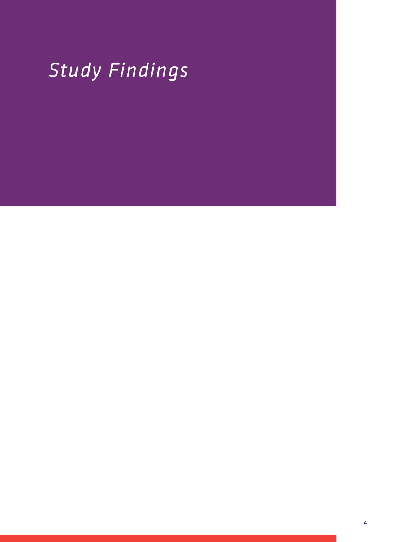# *Study Findings*

4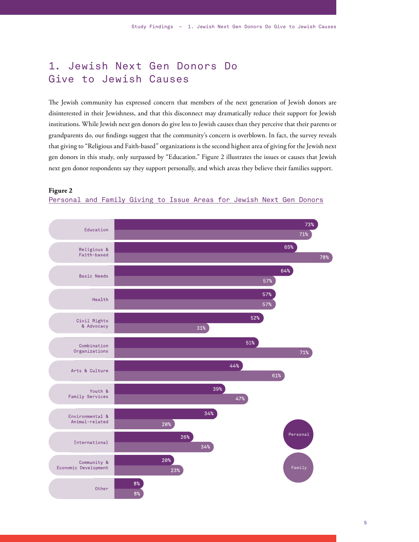# 1. Jewish Next Gen Donors Do Give to Jewish Causes

The Jewish community has expressed concern that members of the next generation of Jewish donors are disinterested in their Jewishness, and that this disconnect may dramatically reduce their support for Jewish institutions. While Jewish next gen donors do give less to Jewish causes than they perceive that their parents or grandparents do, our findings suggest that the community's concern is overblown. In fact, the survey reveals that giving to "Religious and Faith-based" organizations is the second highest area of giving for the Jewish next gen donors in this study, only surpassed by "Education." Figure 2 illustrates the issues or causes that Jewish next gen donor respondents say they support personally, and which areas they believe their families support.





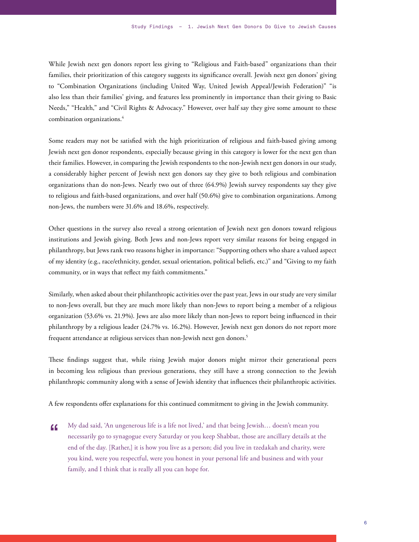While Jewish next gen donors report less giving to "Religious and Faith-based" organizations than their families, their prioritization of this category suggests its significance overall. Jewish next gen donors' giving to "Combination Organizations (including United Way, United Jewish Appeal/Jewish Federation)" "is also less than their families' giving, and features less prominently in importance than their giving to Basic Needs," "Health," and "Civil Rights & Advocacy." However, over half say they give some amount to these combination organizations.4

Some readers may not be satisfied with the high prioritization of religious and faith-based giving among Jewish next gen donor respondents, especially because giving in this category is lower for the next gen than their families. However, in comparing the Jewish respondents to the non-Jewish next gen donors in our study, a considerably higher percent of Jewish next gen donors say they give to both religious and combination organizations than do non-Jews. Nearly two out of three (64.9%) Jewish survey respondents say they give to religious and faith-based organizations, and over half (50.6%) give to combination organizations. Among non-Jews, the numbers were 31.6% and 18.6%, respectively.

Other questions in the survey also reveal a strong orientation of Jewish next gen donors toward religious institutions and Jewish giving. Both Jews and non-Jews report very similar reasons for being engaged in philanthropy, but Jews rank two reasons higher in importance: "Supporting others who share a valued aspect of my identity (e.g., race/ethnicity, gender, sexual orientation, political beliefs, etc.)" and "Giving to my faith community, or in ways that reflect my faith commitments."

Similarly, when asked about their philanthropic activities over the past year, Jews in our study are very similar to non-Jews overall, but they are much more likely than non-Jews to report being a member of a religious organization (53.6% vs. 21.9%). Jews are also more likely than non-Jews to report being influenced in their philanthropy by a religious leader (24.7% vs. 16.2%). However, Jewish next gen donors do not report more frequent attendance at religious services than non-Jewish next gen donors. $^5$ 

These findings suggest that, while rising Jewish major donors might mirror their generational peers in becoming less religious than previous generations, they still have a strong connection to the Jewish philanthropic community along with a sense of Jewish identity that influences their philanthropic activities.

A few respondents offer explanations for this continued commitment to giving in the Jewish community.

My dad said, 'An ungenerous life is a life not lived,' and that being Jewish… doesn't mean you necessarily go to synagogue every Saturday or you keep Shabbat, those are ancillary details at the end of the day. [Rather,] it is how you live as a person; did you live in tzedakah and charity, were you kind, were you respectful, were you honest in your personal life and business and with your family, and I think that is really all you can hope for.  $\epsilon$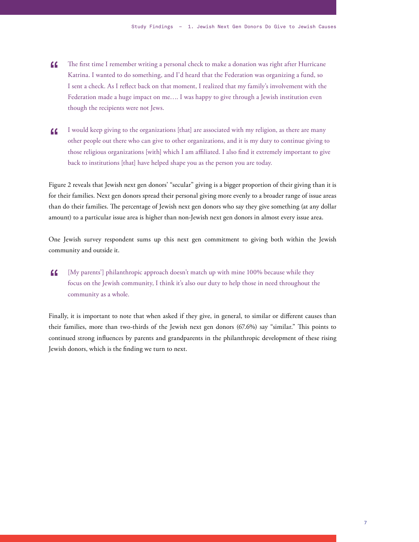- The first time I remember writing a personal check to make a donation was right after Hurricane Katrina. I wanted to do something, and I'd heard that the Federation was organizing a fund, so I sent a check. As I reflect back on that moment, I realized that my family's involvement with the Federation made a huge impact on me…. I was happy to give through a Jewish institution even though the recipients were not Jews.  $\epsilon$
- I would keep giving to the organizations [that] are associated with my religion, as there are many other people out there who can give to other organizations, and it is my duty to continue giving to those religious organizations [with] which I am affiliated. I also find it extremely important to give back to institutions [that] have helped shape you as the person you are today.  $\epsilon$

Figure 2 reveals that Jewish next gen donors' "secular" giving is a bigger proportion of their giving than it is for their families. Next gen donors spread their personal giving more evenly to a broader range of issue areas than do their families. The percentage of Jewish next gen donors who say they give something (at any dollar amount) to a particular issue area is higher than non-Jewish next gen donors in almost every issue area.

One Jewish survey respondent sums up this next gen commitment to giving both within the Jewish community and outside it.

[My parents'] philanthropic approach doesn't match up with mine 100% because while they focus on the Jewish community, I think it's also our duty to help those in need throughout the community as a whole. "

Finally, it is important to note that when asked if they give, in general, to similar or different causes than their families, more than two-thirds of the Jewish next gen donors (67.6%) say "similar." This points to continued strong influences by parents and grandparents in the philanthropic development of these rising Jewish donors, which is the finding we turn to next.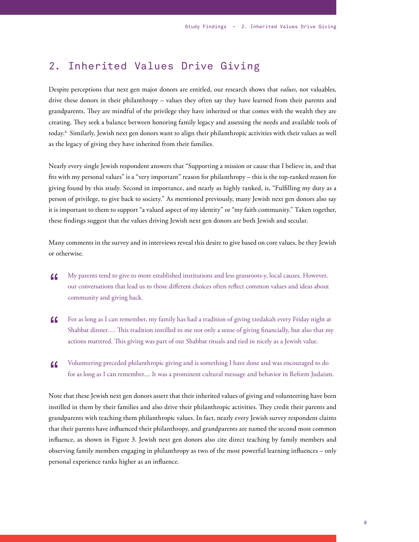### 2. Inherited Values Drive Giving

Despite perceptions that next gen major donors are entitled, our research shows that *values*, not valuables, drive these donors in their philanthropy – values they often say they have learned from their parents and grandparents. They are mindful of the privilege they have inherited or that comes with the wealth they are creating. They seek a balance between honoring family legacy and assessing the needs and available tools of today.6 Similarly, Jewish next gen donors want to align their philanthropic activities with their values as well as the legacy of giving they have inherited from their families.

Nearly every single Jewish respondent answers that "Supporting a mission or cause that I believe in, and that fits with my personal values" is a "very important" reason for philanthropy – this is the top-ranked reason for giving found by this study. Second in importance, and nearly as highly ranked, is, "Fulfilling my duty as a person of privilege, to give back to society." As mentioned previously, many Jewish next gen donors also say it is important to them to support "a valued aspect of my identity" or "my faith community." Taken together, these findings suggest that the values driving Jewish next gen donors are both Jewish and secular.

Many comments in the survey and in interviews reveal this desire to give based on core values, be they Jewish or otherwise.

- My parents tend to give to more established institutions and less grassroots-y, local causes. However, our conversations that lead us to those different choices often reflect common values and ideas about community and giving back.  $\epsilon$
- For as long as I can remember, my family has had a tradition of giving tzedakah every Friday night at Shabbat dinner…. This tradition instilled in me not only a sense of giving financially, but also that my actions mattered. This giving was part of our Shabbat rituals and tied in nicely as a Jewish value.  $\epsilon$
- Volunteering preceded philanthropic giving and is something I have done and was encouraged to do for as long as I can remember.... It was a prominent cultural message and behavior in Reform Judaism.  $\epsilon$

Note that these Jewish next gen donors assert that their inherited values of giving and volunteering have been instilled in them by their families and also drive their philanthropic activities. They credit their parents and grandparents with teaching them philanthropic values. In fact, nearly every Jewish survey respondent claims that their parents have influenced their philanthropy, and grandparents are named the second most common influence, as shown in Figure 3. Jewish next gen donors also cite direct teaching by family members and observing family members engaging in philanthropy as two of the most powerful learning influences – only personal experience ranks higher as an influence.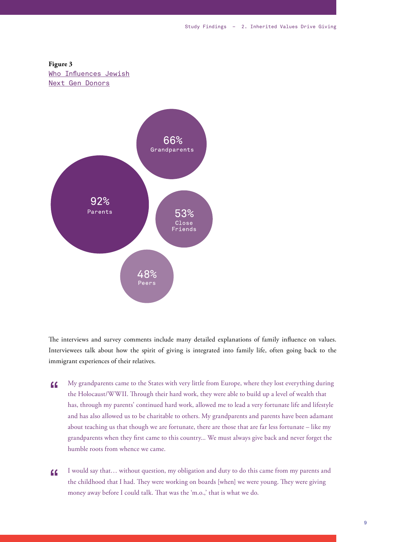



The interviews and survey comments include many detailed explanations of family influence on values. Interviewees talk about how the spirit of giving is integrated into family life, often going back to the immigrant experiences of their relatives.

- My grandparents came to the States with very little from Europe, where they lost everything during the Holocaust/WWII. Through their hard work, they were able to build up a level of wealth that has, through my parents' continued hard work, allowed me to lead a very fortunate life and lifestyle and has also allowed us to be charitable to others. My grandparents and parents have been adamant about teaching us that though we are fortunate, there are those that are far less fortunate – like my grandparents when they first came to this country... We must always give back and never forget the humble roots from whence we came. "
- I would say that… without question, my obligation and duty to do this came from my parents and the childhood that I had. They were working on boards [when] we were young. They were giving money away before I could talk. That was the 'm.o.,' that is what we do.  $\epsilon$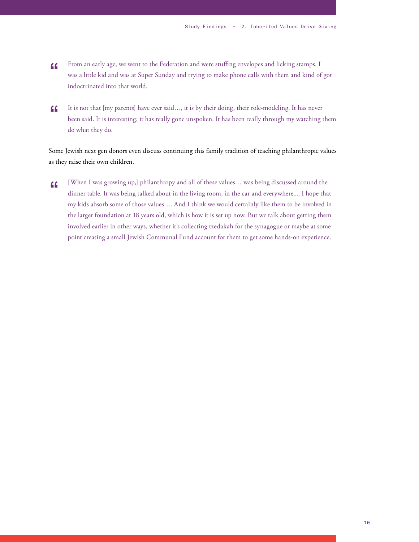- From an early age, we went to the Federation and were stuffing envelopes and licking stamps. I was a little kid and was at Super Sunday and trying to make phone calls with them and kind of got indoctrinated into that world.  $\epsilon$
- It is not that [my parents] have ever said…, it is by their doing, their role-modeling. It has never been said. It is interesting; it has really gone unspoken. It has been really through my watching them do what they do. "

Some Jewish next gen donors even discuss continuing this family tradition of teaching philanthropic values as they raise their own children.

[When I was growing up,] philanthropy and all of these values… was being discussed around the dinner table. It was being talked about in the living room, in the car and everywhere.... I hope that my kids absorb some of those values…. And I think we would certainly like them to be involved in the larger foundation at 18 years old, which is how it is set up now. But we talk about getting them involved earlier in other ways, whether it's collecting tzedakah for the synagogue or maybe at some point creating a small Jewish Communal Fund account for them to get some hands-on experience.  $C$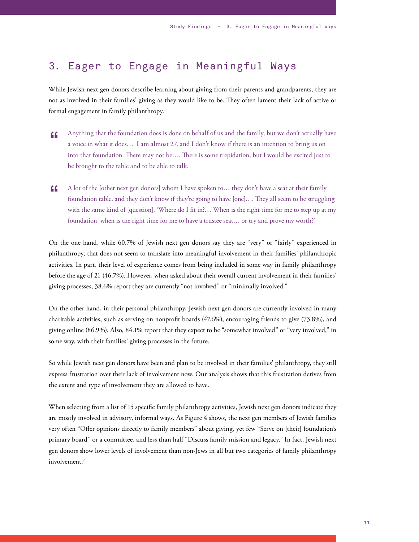## 3. Eager to Engage in Meaningful Ways

While Jewish next gen donors describe learning about giving from their parents and grandparents, they are not as involved in their families' giving as they would like to be. They often lament their lack of active or formal engagement in family philanthropy.

- Anything that the foundation does is done on behalf of us and the family, but we don't actually have a voice in what it does…. I am almost 27, and I don't know if there is an intention to bring us on into that foundation. There may not be…. There is some trepidation, but I would be excited just to be brought to the table and to be able to talk. "
- A lot of the [other next gen donors] whom I have spoken to… they don't have a seat at their family foundation table, and they don't know if they're going to have [one]…. They all seem to be struggling with the same kind of [question], 'Where do I fit in?… When is the right time for me to step up at my foundation, when is the right time for me to have a trustee seat… or try and prove my worth?'  $\epsilon$

On the one hand, while 60.7% of Jewish next gen donors say they are "very" or "fairly" experienced in philanthropy, that does not seem to translate into meaningful involvement in their families' philanthropic activities. In part, their level of experience comes from being included in some way in family philanthropy before the age of 21 (46.7%). However, when asked about their overall current involvement in their families' giving processes, 38.6% report they are currently "not involved" or "minimally involved."

On the other hand, in their personal philanthropy, Jewish next gen donors are currently involved in many charitable activities, such as serving on nonprofit boards (47.6%), encouraging friends to give (73.8%), and giving online (86.9%). Also, 84.1% report that they expect to be "somewhat involved" or "very involved," in some way, with their families' giving processes in the future.

So while Jewish next gen donors have been and plan to be involved in their families' philanthropy, they still express frustration over their lack of involvement now. Our analysis shows that this frustration derives from the extent and type of involvement they are allowed to have.

When selecting from a list of 15 specific family philanthropy activities, Jewish next gen donors indicate they are mostly involved in advisory, informal ways. As Figure 4 shows, the next gen members of Jewish families very often "Offer opinions directly to family members" about giving, yet few "Serve on [their] foundation's primary board" or a committee, and less than half "Discuss family mission and legacy." In fact, Jewish next gen donors show lower levels of involvement than non-Jews in all but two categories of family philanthropy involvement.7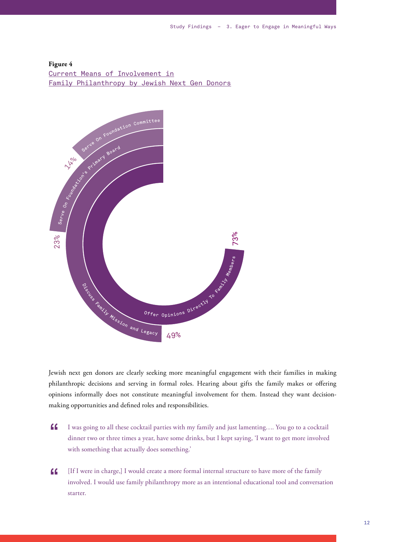#### **Figure 4** Current Means of Involvement in Family Philanthropy by Jewish Next Gen Donors



Jewish next gen donors are clearly seeking more meaningful engagement with their families in making philanthropic decisions and serving in formal roles. Hearing about gifts the family makes or offering opinions informally does not constitute meaningful involvement for them. Instead they want decisionmaking opportunities and defined roles and responsibilities.

- I was going to all these cocktail parties with my family and just lamenting…. You go to a cocktail dinner two or three times a year, have some drinks, but I kept saying, 'I want to get more involved with something that actually does something.' "
- [If I were in charge,] I would create a more formal internal structure to have more of the family involved. I would use family philanthropy more as an intentional educational tool and conversation starter.  $\epsilon$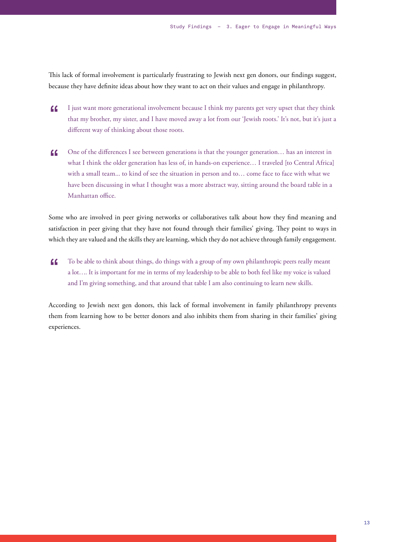This lack of formal involvement is particularly frustrating to Jewish next gen donors, our findings suggest, because they have definite ideas about how they want to act on their values and engage in philanthropy.

- I just want more generational involvement because I think my parents get very upset that they think that my brother, my sister, and I have moved away a lot from our 'Jewish roots.' It's not, but it's just a different way of thinking about those roots. "
- One of the differences I see between generations is that the younger generation… has an interest in what I think the older generation has less of, in hands-on experience… I traveled [to Central Africa] with a small team... to kind of see the situation in person and to… come face to face with what we have been discussing in what I thought was a more abstract way, sitting around the board table in a Manhattan office. "

Some who are involved in peer giving networks or collaboratives talk about how they find meaning and satisfaction in peer giving that they have not found through their families' giving. They point to ways in which they are valued and the skills they are learning, which they do not achieve through family engagement.

To be able to think about things, do things with a group of my own philanthropic peers really meant a lot…. It is important for me in terms of my leadership to be able to both feel like my voice is valued and I'm giving something, and that around that table I am also continuing to learn new skills.  $\epsilon$ 

According to Jewish next gen donors, this lack of formal involvement in family philanthropy prevents them from learning how to be better donors and also inhibits them from sharing in their families' giving experiences.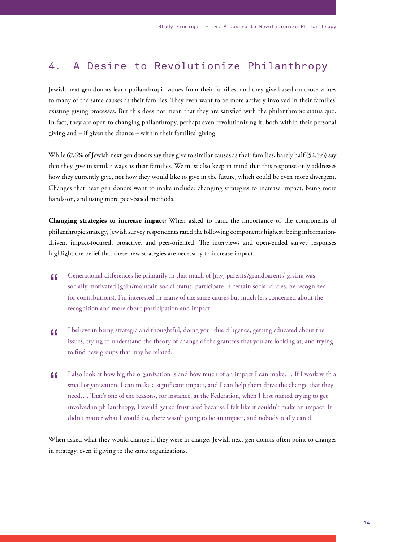### 4. A Desire to Revolutionize Philanthropy

Jewish next gen donors learn philanthropic values from their families, and they give based on those values to many of the same causes as their families. They even want to be more actively involved in their families' existing giving processes. But this does not mean that they are satisfied with the philanthropic status quo. In fact, they are open to changing philanthropy, perhaps even revolutionizing it, both within their personal giving and – if given the chance – within their families' giving.

While 67.6% of Jewish next gen donors say they give to similar causes as their families, barely half (52.1%) say that they give in similar ways as their families. We must also keep in mind that this response only addresses how they currently give, not how they would like to give in the future, which could be even more divergent. Changes that next gen donors want to make include: changing strategies to increase impact, being more hands-on, and using more peer-based methods.

**Changing strategies to increase impact:** When asked to rank the importance of the components of philanthropic strategy, Jewish survey respondents rated the following components highest: being informationdriven, impact-focused, proactive, and peer-oriented. The interviews and open-ended survey responses highlight the belief that these new strategies are necessary to increase impact.

- Generational differences lie primarily in that much of [my] parents'/grandparents' giving was socially motivated (gain/maintain social status, participate in certain social circles, be recognized for contributions). I'm interested in many of the same causes but much less concerned about the recognition and more about participation and impact. "
- I believe in being strategic and thoughtful, doing your due diligence, getting educated about the issues, trying to understand the theory of change of the grantees that you are looking at, and trying to find new groups that may be related.  $\epsilon$
- I also look at how big the organization is and how much of an impact I can make…. If I work with a small organization, I can make a significant impact, and I can help them drive the change that they need…. That's one of the reasons, for instance, at the Federation, when I first started trying to get involved in philanthropy, I would get so frustrated because I felt like it couldn't make an impact. It didn't matter what I would do, there wasn't going to be an impact, and nobody really cared.  $\epsilon$

When asked what they would change if they were in charge, Jewish next gen donors often point to changes in strategy, even if giving to the same organizations.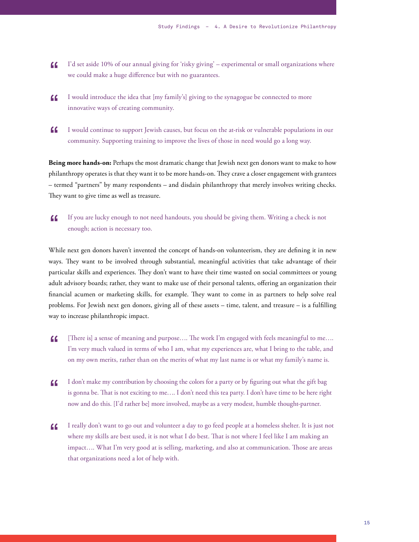- I'd set aside 10% of our annual giving for 'risky giving' experimental or small organizations where we could make a huge difference but with no guarantees. "
- I would introduce the idea that [my family's] giving to the synagogue be connected to more innovative ways of creating community.  $\epsilon$
- I would continue to support Jewish causes, but focus on the at-risk or vulnerable populations in our community. Supporting training to improve the lives of those in need would go a long way. "

**Being more hands-on:** Perhaps the most dramatic change that Jewish next gen donors want to make to how philanthropy operates is that they want it to be more hands-on. They crave a closer engagement with grantees – termed "partners" by many respondents – and disdain philanthropy that merely involves writing checks. They want to give time as well as treasure.

If you are lucky enough to not need handouts, you should be giving them. Writing a check is not enough; action is necessary too. "

While next gen donors haven't invented the concept of hands-on volunteerism, they are defining it in new ways. They want to be involved through substantial, meaningful activities that take advantage of their particular skills and experiences. They don't want to have their time wasted on social committees or young adult advisory boards; rather, they want to make use of their personal talents, offering an organization their financial acumen or marketing skills, for example. They want to come in as partners to help solve real problems. For Jewish next gen donors, giving all of these assets – time, talent, and treasure – is a fulfilling way to increase philanthropic impact.

- [There is] a sense of meaning and purpose…. The work I'm engaged with feels meaningful to me…. I'm very much valued in terms of who I am, what my experiences are, what I bring to the table, and on my own merits, rather than on the merits of what my last name is or what my family's name is.  $\epsilon$
- I don't make my contribution by choosing the colors for a party or by figuring out what the gift bag is gonna be. That is not exciting to me…. I don't need this tea party. I don't have time to be here right now and do this. [I'd rather be] more involved, maybe as a very modest, humble thought-partner.  $\epsilon$
- I really don't want to go out and volunteer a day to go feed people at a homeless shelter. It is just not where my skills are best used, it is not what I do best. That is not where I feel like I am making an impact…. What I'm very good at is selling, marketing, and also at communication. Those are areas that organizations need a lot of help with.  $\epsilon$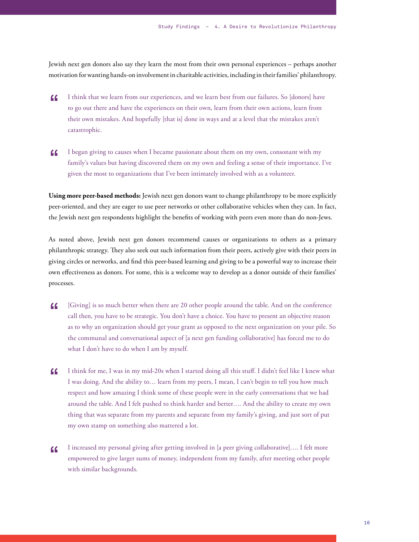Jewish next gen donors also say they learn the most from their own personal experiences – perhaps another motivation for wanting hands-on involvement in charitable activities, including in their families' philanthropy.

- I think that we learn from our experiences, and we learn best from our failures. So [donors] have to go out there and have the experiences on their own, learn from their own actions, learn from their own mistakes. And hopefully [that is] done in ways and at a level that the mistakes aren't catastrophic.  $\epsilon$
- I began giving to causes when I became passionate about them on my own, consonant with my family's values but having discovered them on my own and feeling a sense of their importance. I've given the most to organizations that I've been intimately involved with as a volunteer.  $\epsilon$

**Using more peer-based methods:** Jewish next gen donors want to change philanthropy to be more explicitly peer-oriented, and they are eager to use peer networks or other collaborative vehicles when they can. In fact, the Jewish next gen respondents highlight the benefits of working with peers even more than do non-Jews.

As noted above, Jewish next gen donors recommend causes or organizations to others as a primary philanthropic strategy. They also seek out such information from their peers, actively give with their peers in giving circles or networks, and find this peer-based learning and giving to be a powerful way to increase their own effectiveness as donors. For some, this is a welcome way to develop as a donor outside of their families' processes.

- [Giving] is so much better when there are 20 other people around the table. And on the conference call then, you have to be strategic. You don't have a choice. You have to present an objective reason as to why an organization should get your grant as opposed to the next organization on your pile. So the communal and conversational aspect of [a next gen funding collaborative] has forced me to do what I don't have to do when I am by myself.  $\epsilon$
- I think for me, I was in my mid-20s when I started doing all this stuff. I didn't feel like I knew what I was doing. And the ability to… learn from my peers, I mean, I can't begin to tell you how much respect and how amazing I think some of these people were in the early conversations that we had around the table. And I felt pushed to think harder and better…. And the ability to create my own thing that was separate from my parents and separate from my family's giving, and just sort of put my own stamp on something also mattered a lot.  $\epsilon$
- I increased my personal giving after getting involved in [a peer giving collaborative]…. I felt more empowered to give larger sums of money, independent from my family, after meeting other people with similar backgrounds.  $\epsilon$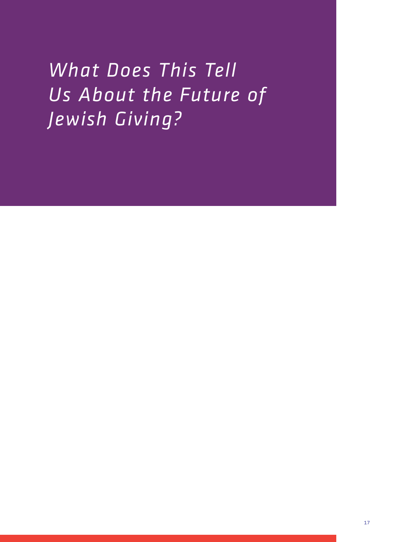*What Does This Tell Us About the Future of Jewish Giving?*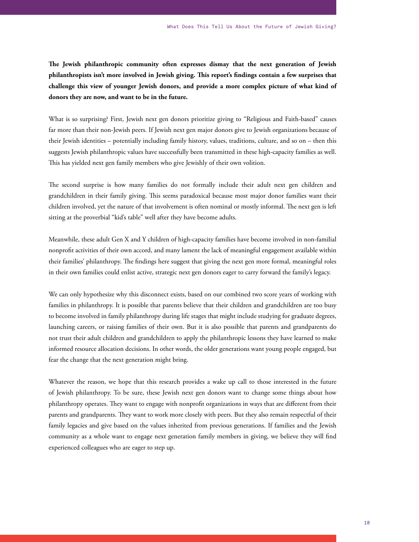**The Jewish philanthropic community often expresses dismay that the next generation of Jewish philanthropists isn't more involved in Jewish giving. This report's findings contain a few surprises that challenge this view of younger Jewish donors, and provide a more complex picture of what kind of donors they are now, and want to be in the future.**

What is so surprising? First, Jewish next gen donors prioritize giving to "Religious and Faith-based" causes far more than their non-Jewish peers. If Jewish next gen major donors give to Jewish organizations because of their Jewish identities – potentially including family history, values, traditions, culture, and so on – then this suggests Jewish philanthropic values have successfully been transmitted in these high-capacity families as well. This has yielded next gen family members who give Jewishly of their own volition.

The second surprise is how many families do not formally include their adult next gen children and grandchildren in their family giving. This seems paradoxical because most major donor families want their children involved, yet the nature of that involvement is often nominal or mostly informal. The next gen is left sitting at the proverbial "kid's table" well after they have become adults.

Meanwhile, these adult Gen X and Y children of high-capacity families have become involved in non-familial nonprofit activities of their own accord, and many lament the lack of meaningful engagement available within their families' philanthropy. The findings here suggest that giving the next gen more formal, meaningful roles in their own families could enlist active, strategic next gen donors eager to carry forward the family's legacy.

We can only hypothesize why this disconnect exists, based on our combined two score years of working with families in philanthropy. It is possible that parents believe that their children and grandchildren are too busy to become involved in family philanthropy during life stages that might include studying for graduate degrees, launching careers, or raising families of their own. But it is also possible that parents and grandparents do not trust their adult children and grandchildren to apply the philanthropic lessons they have learned to make informed resource allocation decisions. In other words, the older generations want young people engaged, but fear the change that the next generation might bring.

Whatever the reason, we hope that this research provides a wake up call to those interested in the future of Jewish philanthropy. To be sure, these Jewish next gen donors want to change some things about how philanthropy operates. They want to engage with nonprofit organizations in ways that are different from their parents and grandparents. They want to work more closely with peers. But they also remain respectful of their family legacies and give based on the values inherited from previous generations. If families and the Jewish community as a whole want to engage next generation family members in giving, we believe they will find experienced colleagues who are eager to step up.